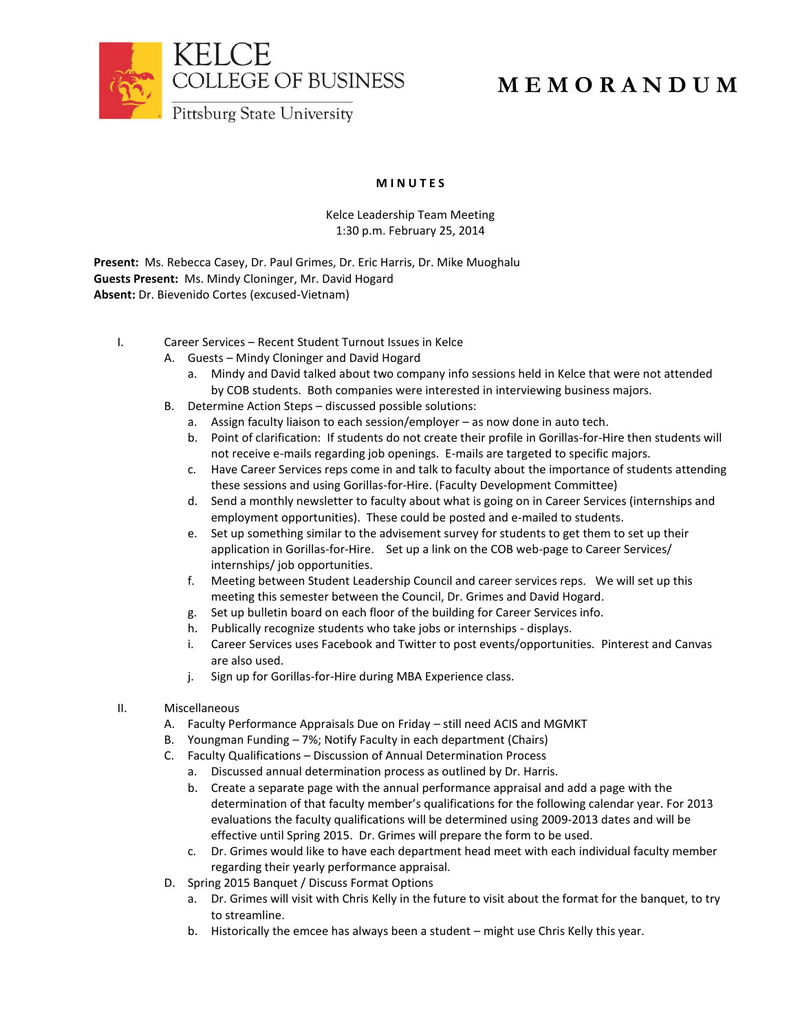

## **M E M O R A N D U M**

## **M I N U T E S**

## Kelce Leadership Team Meeting 1:30 p.m. February 25, 2014

**Present:** Ms. Rebecca Casey, Dr. Paul Grimes, Dr. Eric Harris, Dr. Mike Muoghalu **Guests Present:** Ms. Mindy Cloninger, Mr. David Hogard **Absent:** Dr. Bievenido Cortes (excused-Vietnam)

- I. Career Services Recent Student Turnout Issues in Kelce
	- A. Guests Mindy Cloninger and David Hogard
		- a. Mindy and David talked about two company info sessions held in Kelce that were not attended by COB students. Both companies were interested in interviewing business majors.
	- B. Determine Action Steps discussed possible solutions:
		- a. Assign faculty liaison to each session/employer as now done in auto tech.
		- b. Point of clarification: If students do not create their profile in Gorillas-for-Hire then students will not receive e-mails regarding job openings. E-mails are targeted to specific majors.
		- c. Have Career Services reps come in and talk to faculty about the importance of students attending these sessions and using Gorillas-for-Hire. (Faculty Development Committee)
		- d. Send a monthly newsletter to faculty about what is going on in Career Services (internships and employment opportunities). These could be posted and e-mailed to students.
		- e. Set up something similar to the advisement survey for students to get them to set up their application in Gorillas-for-Hire. Set up a link on the COB web-page to Career Services/ internships/ job opportunities.
		- f. Meeting between Student Leadership Council and career services reps. We will set up this meeting this semester between the Council, Dr. Grimes and David Hogard.
		- g. Set up bulletin board on each floor of the building for Career Services info.
		- h. Publically recognize students who take jobs or internships displays.
		- i. Career Services uses Facebook and Twitter to post events/opportunities. Pinterest and Canvas are also used.
		- j. Sign up for Gorillas-for-Hire during MBA Experience class.
- II. Miscellaneous
	- A. Faculty Performance Appraisals Due on Friday still need ACIS and MGMKT
	- B. Youngman Funding 7%; Notify Faculty in each department (Chairs)
	- C. Faculty Qualifications Discussion of Annual Determination Process
		- a. Discussed annual determination process as outlined by Dr. Harris.
		- b. Create a separate page with the annual performance appraisal and add a page with the determination of that faculty member's qualifications for the following calendar year. For 2013 evaluations the faculty qualifications will be determined using 2009-2013 dates and will be effective until Spring 2015. Dr. Grimes will prepare the form to be used.
		- c. Dr. Grimes would like to have each department head meet with each individual faculty member regarding their yearly performance appraisal.
	- D. Spring 2015 Banquet / Discuss Format Options
		- a. Dr. Grimes will visit with Chris Kelly in the future to visit about the format for the banquet, to try to streamline.
		- b. Historically the emcee has always been a student might use Chris Kelly this year.